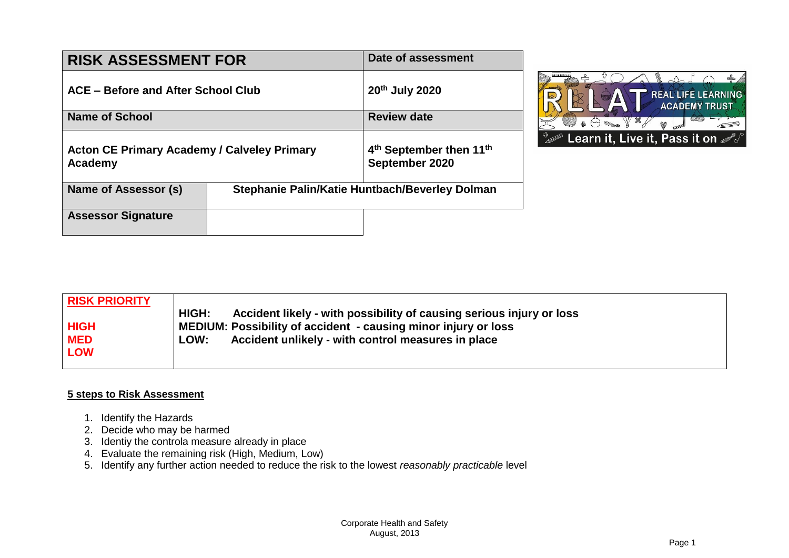| <b>RISK ASSESSMENT FOR</b>                                    | <b>Date of assessment</b>                                         |  |  |
|---------------------------------------------------------------|-------------------------------------------------------------------|--|--|
| ACE – Before and After School Club                            | 20th July 2020                                                    |  |  |
| <b>Name of School</b>                                         | <b>Review date</b>                                                |  |  |
| <b>Acton CE Primary Academy / Calveley Primary</b><br>Academy | 4 <sup>th</sup> September then 11 <sup>th</sup><br>September 2020 |  |  |
| Name of Assessor (s)                                          | Stephanie Palin/Katie Huntbach/Beverley Dolman                    |  |  |
| <b>Assessor Signature</b>                                     |                                                                   |  |  |



| <b>RISK PRIORITY</b> |                                                                               |
|----------------------|-------------------------------------------------------------------------------|
|                      | HIGH:<br>Accident likely - with possibility of causing serious injury or loss |
| <b>HIGH</b>          | MEDIUM: Possibility of accident - causing minor injury or loss                |
| <b>MED</b>           | Accident unlikely - with control measures in place<br>LOW:                    |
| <b>LOW</b>           |                                                                               |
|                      |                                                                               |

## **5 steps to Risk Assessment**

- 1. Identify the Hazards
- 2. Decide who may be harmed
- 3. Identiy the controla measure already in place
- 4. Evaluate the remaining risk (High, Medium, Low)
- 5. Identify any further action needed to reduce the risk to the lowest *reasonably practicable* level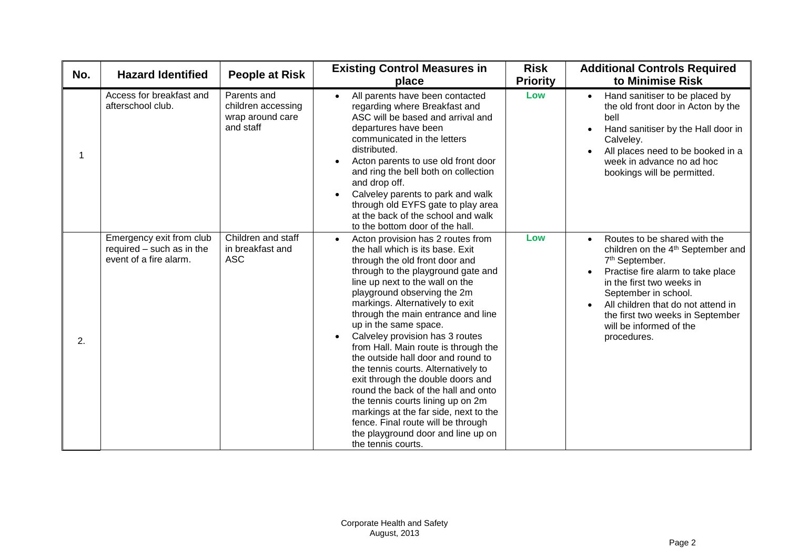| No. | <b>Hazard Identified</b>                                                        | <b>People at Risk</b>                                              | <b>Existing Control Measures in</b><br>place                                                                                                                                                                                                                                                                                                                                                                                                                                                                                                                                                                                                                                                                                          | <b>Risk</b><br><b>Priority</b> | <b>Additional Controls Required</b><br>to Minimise Risk                                                                                                                                                                                                                                                                                |  |
|-----|---------------------------------------------------------------------------------|--------------------------------------------------------------------|---------------------------------------------------------------------------------------------------------------------------------------------------------------------------------------------------------------------------------------------------------------------------------------------------------------------------------------------------------------------------------------------------------------------------------------------------------------------------------------------------------------------------------------------------------------------------------------------------------------------------------------------------------------------------------------------------------------------------------------|--------------------------------|----------------------------------------------------------------------------------------------------------------------------------------------------------------------------------------------------------------------------------------------------------------------------------------------------------------------------------------|--|
| 1   | Access for breakfast and<br>afterschool club.                                   | Parents and<br>children accessing<br>wrap around care<br>and staff | All parents have been contacted<br>$\bullet$<br>regarding where Breakfast and<br>ASC will be based and arrival and<br>departures have been<br>communicated in the letters<br>distributed.<br>Acton parents to use old front door<br>and ring the bell both on collection<br>and drop off.<br>Calveley parents to park and walk<br>through old EYFS gate to play area<br>at the back of the school and walk<br>to the bottom door of the hall.                                                                                                                                                                                                                                                                                         | Low                            | Hand sanitiser to be placed by<br>$\bullet$<br>the old front door in Acton by the<br>bell<br>Hand sanitiser by the Hall door in<br>Calveley.<br>All places need to be booked in a<br>week in advance no ad hoc<br>bookings will be permitted.                                                                                          |  |
| 2.  | Emergency exit from club<br>required - such as in the<br>event of a fire alarm. | Children and staff<br>in breakfast and<br><b>ASC</b>               | Acton provision has 2 routes from<br>the hall which is its base. Exit<br>through the old front door and<br>through to the playground gate and<br>line up next to the wall on the<br>playground observing the 2m<br>markings. Alternatively to exit<br>through the main entrance and line<br>up in the same space.<br>Calveley provision has 3 routes<br>from Hall. Main route is through the<br>the outside hall door and round to<br>the tennis courts. Alternatively to<br>exit through the double doors and<br>round the back of the hall and onto<br>the tennis courts lining up on 2m<br>markings at the far side, next to the<br>fence. Final route will be through<br>the playground door and line up on<br>the tennis courts. | Low                            | Routes to be shared with the<br>$\bullet$<br>children on the 4 <sup>th</sup> September and<br>7 <sup>th</sup> September.<br>Practise fire alarm to take place<br>in the first two weeks in<br>September in school.<br>All children that do not attend in<br>the first two weeks in September<br>will be informed of the<br>procedures. |  |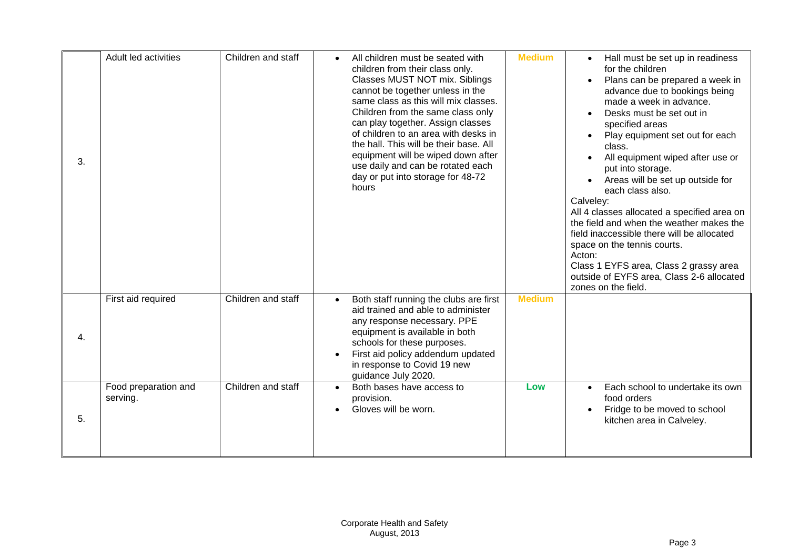| 3. | Adult led activities             | Children and staff | All children must be seated with<br>$\bullet$<br>children from their class only.<br>Classes MUST NOT mix. Siblings<br>cannot be together unless in the<br>same class as this will mix classes.<br>Children from the same class only<br>can play together. Assign classes<br>of children to an area with desks in<br>the hall. This will be their base. All<br>equipment will be wiped down after<br>use daily and can be rotated each<br>day or put into storage for 48-72<br>hours | <b>Medium</b> | Hall must be set up in readiness<br>$\bullet$<br>for the children<br>Plans can be prepared a week in<br>$\bullet$<br>advance due to bookings being<br>made a week in advance.<br>Desks must be set out in<br>specified areas<br>Play equipment set out for each<br>class.<br>All equipment wiped after use or<br>put into storage.<br>Areas will be set up outside for<br>each class also.<br>Calveley:<br>All 4 classes allocated a specified area on<br>the field and when the weather makes the<br>field inaccessible there will be allocated<br>space on the tennis courts.<br>Acton:<br>Class 1 EYFS area, Class 2 grassy area<br>outside of EYFS area, Class 2-6 allocated<br>zones on the field. |
|----|----------------------------------|--------------------|-------------------------------------------------------------------------------------------------------------------------------------------------------------------------------------------------------------------------------------------------------------------------------------------------------------------------------------------------------------------------------------------------------------------------------------------------------------------------------------|---------------|---------------------------------------------------------------------------------------------------------------------------------------------------------------------------------------------------------------------------------------------------------------------------------------------------------------------------------------------------------------------------------------------------------------------------------------------------------------------------------------------------------------------------------------------------------------------------------------------------------------------------------------------------------------------------------------------------------|
| 4. | First aid required               | Children and staff | Both staff running the clubs are first<br>aid trained and able to administer<br>any response necessary. PPE<br>equipment is available in both<br>schools for these purposes.<br>First aid policy addendum updated<br>in response to Covid 19 new<br>guidance July 2020.                                                                                                                                                                                                             | <b>Medium</b> |                                                                                                                                                                                                                                                                                                                                                                                                                                                                                                                                                                                                                                                                                                         |
| 5. | Food preparation and<br>serving. | Children and staff | Both bases have access to<br>$\bullet$<br>provision.<br>Gloves will be worn.                                                                                                                                                                                                                                                                                                                                                                                                        | Low           | Each school to undertake its own<br>$\bullet$<br>food orders<br>Fridge to be moved to school<br>kitchen area in Calveley.                                                                                                                                                                                                                                                                                                                                                                                                                                                                                                                                                                               |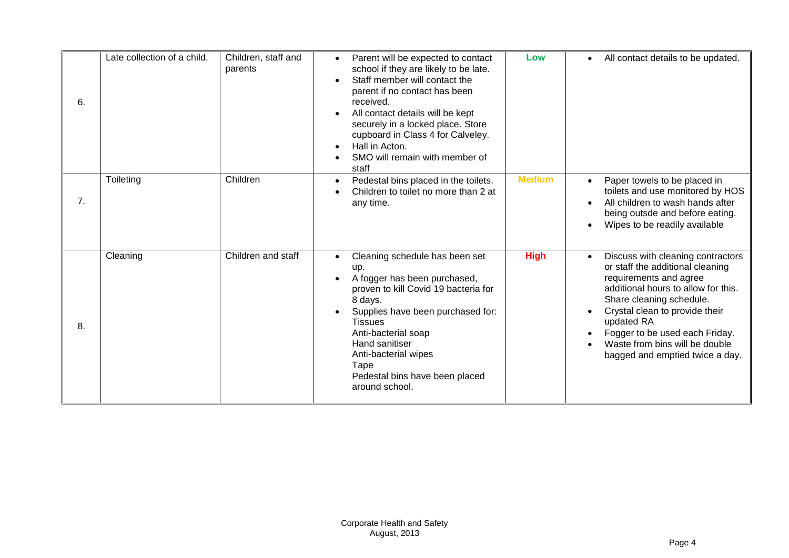| 6. | Late collection of a child. | Children, staff and<br>parents | Parent will be expected to contact<br>school if they are likely to be late.<br>Staff member will contact the<br>parent if no contact has been<br>received.<br>All contact details will be kept<br>securely in a locked place. Store<br>cupboard in Class 4 for Calveley.<br>Hall in Acton.<br>SMO will remain with member of<br>staff | Low           | All contact details to be updated.                                                                                                                                                                                                                                                                                        |
|----|-----------------------------|--------------------------------|---------------------------------------------------------------------------------------------------------------------------------------------------------------------------------------------------------------------------------------------------------------------------------------------------------------------------------------|---------------|---------------------------------------------------------------------------------------------------------------------------------------------------------------------------------------------------------------------------------------------------------------------------------------------------------------------------|
| 7. | Toileting                   | Children                       | Pedestal bins placed in the toilets.<br>Children to toilet no more than 2 at<br>any time.                                                                                                                                                                                                                                             | <b>Medium</b> | Paper towels to be placed in<br>toilets and use monitored by HOS<br>All children to wash hands after<br>being outsde and before eating.<br>Wipes to be readily available                                                                                                                                                  |
| 8. | Cleaning                    | Children and staff             | Cleaning schedule has been set<br>up.<br>A fogger has been purchased,<br>proven to kill Covid 19 bacteria for<br>8 days.<br>Supplies have been purchased for:<br><b>Tissues</b><br>Anti-bacterial soap<br>Hand sanitiser<br>Anti-bacterial wipes<br>Tape<br>Pedestal bins have been placed<br>around school.                          | <b>High</b>   | Discuss with cleaning contractors<br>or staff the additional cleaning<br>requirements and agree<br>additional hours to allow for this.<br>Share cleaning schedule.<br>Crystal clean to provide their<br>updated RA<br>Fogger to be used each Friday.<br>Waste from bins will be double<br>bagged and emptied twice a day. |